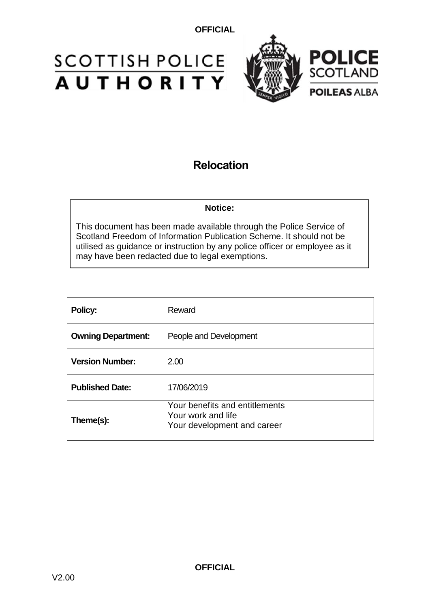# **SCOTTISH POLICE**<br>**AUTHORITY**



## **Relocation**

## **Notice:**

This document has been made available through the Police Service of Scotland Freedom of Information Publication Scheme. It should not be utilised as guidance or instruction by any police officer or employee as it may have been redacted due to legal exemptions.

| Policy:                   | Reward                                                                              |
|---------------------------|-------------------------------------------------------------------------------------|
| <b>Owning Department:</b> | People and Development                                                              |
| <b>Version Number:</b>    | 2.00                                                                                |
| <b>Published Date:</b>    | 17/06/2019                                                                          |
| Theme(s):                 | Your benefits and entitlements<br>Your work and life<br>Your development and career |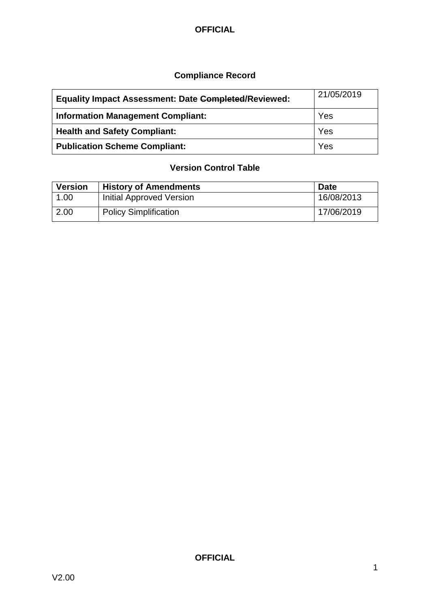## **Compliance Record**

| <b>Equality Impact Assessment: Date Completed/Reviewed:</b> | 21/05/2019 |
|-------------------------------------------------------------|------------|
| <b>Information Management Compliant:</b>                    | Yes        |
| <b>Health and Safety Compliant:</b>                         | Yes        |
| <b>Publication Scheme Compliant:</b>                        | Yes        |

## **Version Control Table**

| <b>Version</b> | <b>History of Amendments</b>    | <b>Date</b> |
|----------------|---------------------------------|-------------|
| 1.00           | <b>Initial Approved Version</b> | 16/08/2013  |
| 2.00           | <b>Policy Simplification</b>    | 17/06/2019  |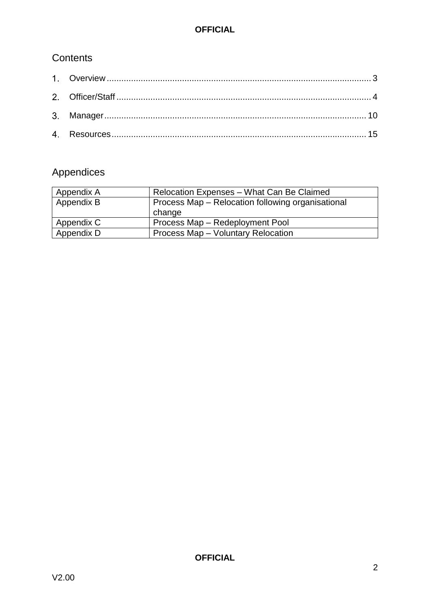## **Contents**

## Appendices

| Appendix A | Relocation Expenses - What Can Be Claimed         |
|------------|---------------------------------------------------|
| Appendix B | Process Map - Relocation following organisational |
|            | change                                            |
| Appendix C | Process Map - Redeployment Pool                   |
| Appendix D | Process Map - Voluntary Relocation                |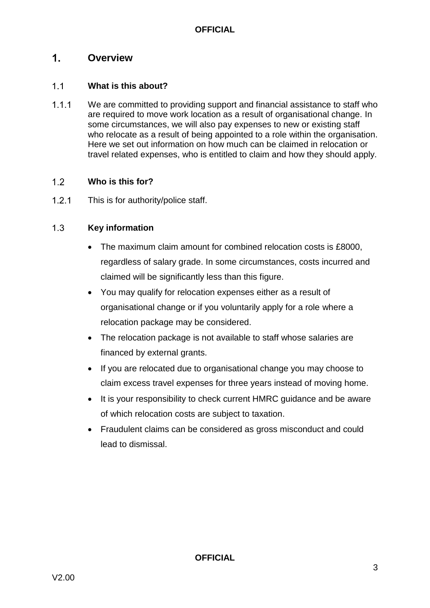#### <span id="page-3-0"></span> $1<sub>1</sub>$ **Overview**

#### $1.1$ **What is this about?**

 $1.1.1$ We are committed to providing support and financial assistance to staff who are required to move work location as a result of organisational change. In some circumstances, we will also pay expenses to new or existing staff who relocate as a result of being appointed to a role within the organisation. Here we set out information on how much can be claimed in relocation or travel related expenses, who is entitled to claim and how they should apply.

#### $1.2$ **Who is this for?**

 $1.2.1$ This is for authority/police staff.

#### $1.3$ **Key information**

- The maximum claim amount for combined relocation costs is £8000, regardless of salary grade. In some circumstances, costs incurred and claimed will be significantly less than this figure.
- You may qualify for relocation expenses either as a result of organisational change or if you voluntarily apply for a role where a relocation package may be considered.
- The relocation package is not available to staff whose salaries are financed by external grants.
- If you are relocated due to organisational change you may choose to claim excess travel expenses for three years instead of moving home.
- It is your responsibility to check current HMRC quidance and be aware of which relocation costs are subject to taxation.
- Fraudulent claims can be considered as gross misconduct and could lead to dismissal.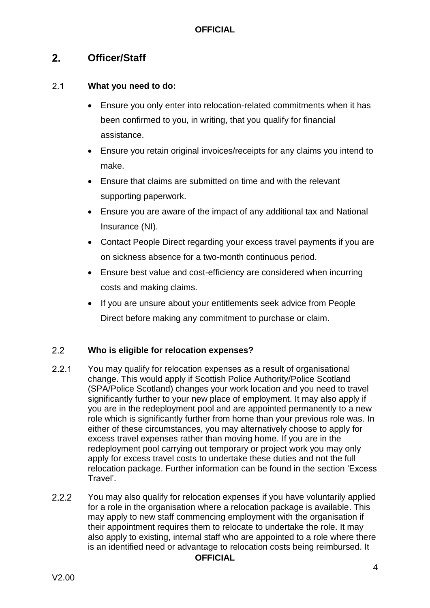#### <span id="page-4-0"></span> $2.$ **Officer/Staff**

#### $2.1$ **What you need to do:**

- Ensure you only enter into relocation-related commitments when it has been confirmed to you, in writing, that you qualify for financial assistance.
- Ensure you retain original invoices/receipts for any claims you intend to make.
- Ensure that claims are submitted on time and with the relevant supporting paperwork.
- Ensure you are aware of the impact of any additional tax and National Insurance (NI).
- Contact People Direct regarding your excess travel payments if you are on sickness absence for a two-month continuous period.
- Ensure best value and cost-efficiency are considered when incurring costs and making claims.
- If you are unsure about your entitlements seek advice from People Direct before making any commitment to purchase or claim.

#### $2.2$ **Who is eligible for relocation expenses?**

- $2.2.1$ You may qualify for relocation expenses as a result of organisational change. This would apply if Scottish Police Authority/Police Scotland (SPA/Police Scotland) changes your work location and you need to travel significantly further to your new place of employment. It may also apply if you are in the redeployment pool and are appointed permanently to a new role which is significantly further from home than your previous role was. In either of these circumstances, you may alternatively choose to apply for excess travel expenses rather than moving home. If you are in the redeployment pool carrying out temporary or project work you may only apply for excess travel costs to undertake these duties and not the full relocation package. Further information can be found in the section 'Excess Travel'.
- $2.2.2$ You may also qualify for relocation expenses if you have voluntarily applied for a role in the organisation where a relocation package is available. This may apply to new staff commencing employment with the organisation if their appointment requires them to relocate to undertake the role. It may also apply to existing, internal staff who are appointed to a role where there is an identified need or advantage to relocation costs being reimbursed. It **OFFICIAL**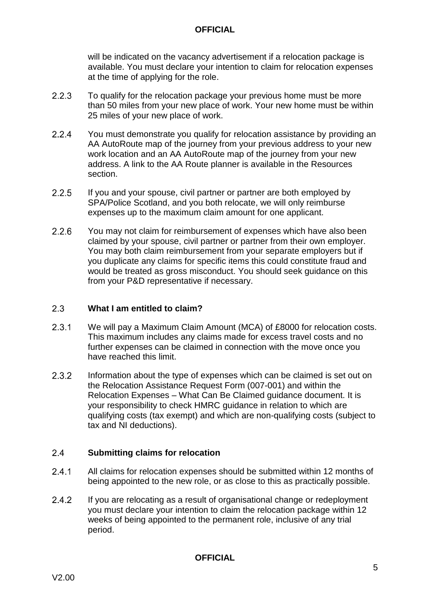will be indicated on the vacancy advertisement if a relocation package is available. You must declare your intention to claim for relocation expenses at the time of applying for the role.

- $2.2.3$ To qualify for the relocation package your previous home must be more than 50 miles from your new place of work. Your new home must be within 25 miles of your new place of work.
- $2.2.4$ You must demonstrate you qualify for relocation assistance by providing an AA AutoRoute map of the journey from your previous address to your new work location and an AA AutoRoute map of the journey from your new address. A link to the AA Route planner is available in the Resources section.
- $2.2.5$ If you and your spouse, civil partner or partner are both employed by SPA/Police Scotland, and you both relocate, we will only reimburse expenses up to the maximum claim amount for one applicant.
- $2.2.6$ You may not claim for reimbursement of expenses which have also been claimed by your spouse, civil partner or partner from their own employer. You may both claim reimbursement from your separate employers but if you duplicate any claims for specific items this could constitute fraud and would be treated as gross misconduct. You should seek guidance on this from your P&D representative if necessary.

#### $2.3$ **What I am entitled to claim?**

- $2.3.1$ We will pay a Maximum Claim Amount (MCA) of £8000 for relocation costs. This maximum includes any claims made for excess travel costs and no further expenses can be claimed in connection with the move once you have reached this limit.
- $2.3.2$ Information about the type of expenses which can be claimed is set out on the Relocation Assistance Request Form (007-001) and within the Relocation Expenses – What Can Be Claimed guidance document. It is your responsibility to check HMRC guidance in relation to which are qualifying costs (tax exempt) and which are non-qualifying costs (subject to tax and NI deductions).

#### $2.4$ **Submitting claims for relocation**

- $2.4.1$ All claims for relocation expenses should be submitted within 12 months of being appointed to the new role, or as close to this as practically possible.
- $2.4.2$ If you are relocating as a result of organisational change or redeployment you must declare your intention to claim the relocation package within 12 weeks of being appointed to the permanent role, inclusive of any trial period.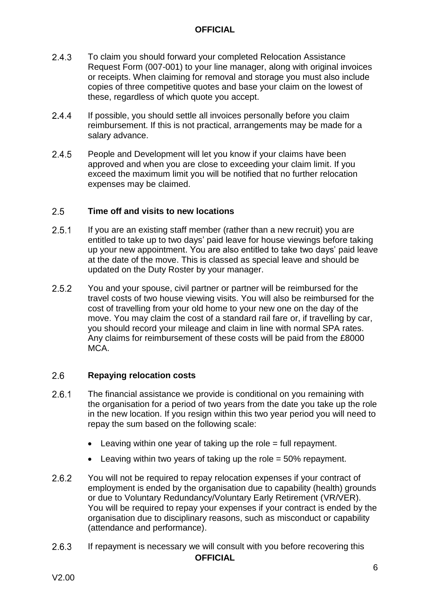- $2.4.3$ To claim you should forward your completed Relocation Assistance Request Form (007-001) to your line manager, along with original invoices or receipts. When claiming for removal and storage you must also include copies of three competitive quotes and base your claim on the lowest of these, regardless of which quote you accept.
- $2.4.4$ If possible, you should settle all invoices personally before you claim reimbursement. If this is not practical, arrangements may be made for a salary advance.
- $2.4.5$ People and Development will let you know if your claims have been approved and when you are close to exceeding your claim limit. If you exceed the maximum limit you will be notified that no further relocation expenses may be claimed.

#### $2.5$ **Time off and visits to new locations**

- $2.5.1$ If you are an existing staff member (rather than a new recruit) you are entitled to take up to two days' paid leave for house viewings before taking up your new appointment. You are also entitled to take two days' paid leave at the date of the move. This is classed as special leave and should be updated on the Duty Roster by your manager.
- $2.5.2$ You and your spouse, civil partner or partner will be reimbursed for the travel costs of two house viewing visits. You will also be reimbursed for the cost of travelling from your old home to your new one on the day of the move. You may claim the cost of a standard rail fare or, if travelling by car, you should record your mileage and claim in line with normal SPA rates. Any claims for reimbursement of these costs will be paid from the £8000 MCA.

#### $2.6$ **Repaying relocation costs**

- $2.6.1$ The financial assistance we provide is conditional on you remaining with the organisation for a period of two years from the date you take up the role in the new location. If you resign within this two year period you will need to repay the sum based on the following scale:
	- $\bullet$  Leaving within one vear of taking up the role = full repayment.
	- $\bullet$  Leaving within two years of taking up the role = 50% repayment.
- $2.6.2$ You will not be required to repay relocation expenses if your contract of employment is ended by the organisation due to capability (health) grounds or due to Voluntary Redundancy/Voluntary Early Retirement (VR/VER). You will be required to repay your expenses if your contract is ended by the organisation due to disciplinary reasons, such as misconduct or capability (attendance and performance).
- $2.6.3$ If repayment is necessary we will consult with you before recovering this **OFFICIAL**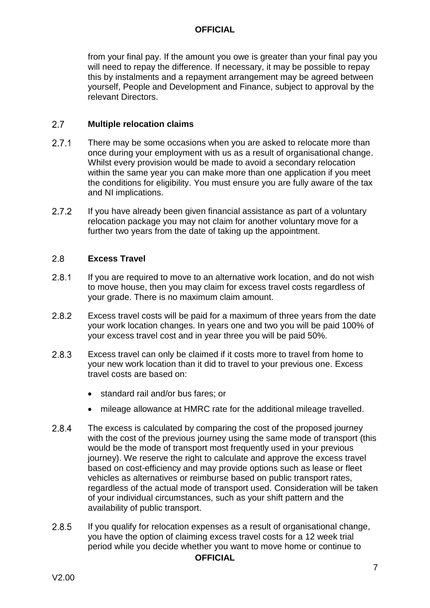from your final pay. If the amount you owe is greater than your final pay you will need to repay the difference. If necessary, it may be possible to repay this by instalments and a repayment arrangement may be agreed between yourself, People and Development and Finance, subject to approval by the relevant Directors.

#### $2.7$ **Multiple relocation claims**

- $2.7.1$ There may be some occasions when you are asked to relocate more than once during your employment with us as a result of organisational change. Whilst every provision would be made to avoid a secondary relocation within the same year you can make more than one application if you meet the conditions for eligibility. You must ensure you are fully aware of the tax and NI implications.
- $2.7.2$ If you have already been given financial assistance as part of a voluntary relocation package you may not claim for another voluntary move for a further two years from the date of taking up the appointment.

#### $2.8$ **Excess Travel**

- $2.8.1$ If you are required to move to an alternative work location, and do not wish to move house, then you may claim for excess travel costs regardless of your grade. There is no maximum claim amount.
- $2.8.2$ Excess travel costs will be paid for a maximum of three years from the date your work location changes. In years one and two you will be paid 100% of your excess travel cost and in year three you will be paid 50%.
- $2.8.3$ Excess travel can only be claimed if it costs more to travel from home to your new work location than it did to travel to your previous one. Excess travel costs are based on:
	- standard rail and/or bus fares; or
	- mileage allowance at HMRC rate for the additional mileage travelled.
- 2.8.4 The excess is calculated by comparing the cost of the proposed journey with the cost of the previous journey using the same mode of transport (this would be the mode of transport most frequently used in your previous journey). We reserve the right to calculate and approve the excess travel based on cost-efficiency and may provide options such as lease or fleet vehicles as alternatives or reimburse based on public transport rates, regardless of the actual mode of transport used. Consideration will be taken of your individual circumstances, such as your shift pattern and the availability of public transport.
- 2.8.5 If you qualify for relocation expenses as a result of organisational change, you have the option of claiming excess travel costs for a 12 week trial period while you decide whether you want to move home or continue to **OFFICIAL**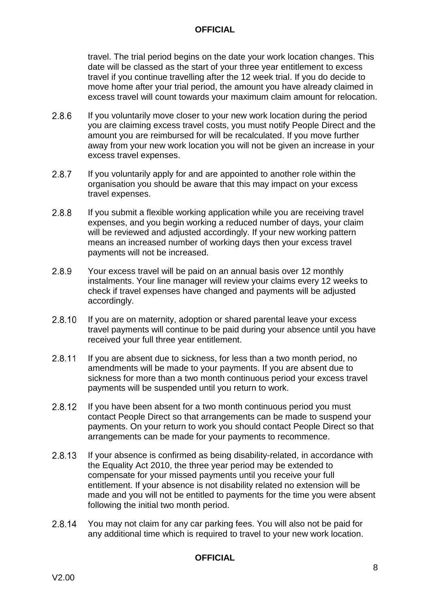travel. The trial period begins on the date your work location changes. This date will be classed as the start of your three year entitlement to excess travel if you continue travelling after the 12 week trial. If you do decide to move home after your trial period, the amount you have already claimed in excess travel will count towards your maximum claim amount for relocation.

- 2.8.6 If you voluntarily move closer to your new work location during the period you are claiming excess travel costs, you must notify People Direct and the amount you are reimbursed for will be recalculated. If you move further away from your new work location you will not be given an increase in your excess travel expenses.
- $2.8.7$ If you voluntarily apply for and are appointed to another role within the organisation you should be aware that this may impact on your excess travel expenses.
- 2.8.8 If you submit a flexible working application while you are receiving travel expenses, and you begin working a reduced number of days, your claim will be reviewed and adjusted accordingly. If your new working pattern means an increased number of working days then your excess travel payments will not be increased.
- 2.8.9 Your excess travel will be paid on an annual basis over 12 monthly instalments. Your line manager will review your claims every 12 weeks to check if travel expenses have changed and payments will be adjusted accordingly.
- 2.8.10 If you are on maternity, adoption or shared parental leave your excess travel payments will continue to be paid during your absence until you have received your full three year entitlement.
- 2.8.11 If you are absent due to sickness, for less than a two month period, no amendments will be made to your payments. If you are absent due to sickness for more than a two month continuous period your excess travel payments will be suspended until you return to work.
- 2.8.12 If you have been absent for a two month continuous period you must contact People Direct so that arrangements can be made to suspend your payments. On your return to work you should contact People Direct so that arrangements can be made for your payments to recommence.
- 2.8.13 If your absence is confirmed as being disability-related, in accordance with the Equality Act 2010, the three year period may be extended to compensate for your missed payments until you receive your full entitlement. If your absence is not disability related no extension will be made and you will not be entitled to payments for the time you were absent following the initial two month period.
- 2.8.14 You may not claim for any car parking fees. You will also not be paid for any additional time which is required to travel to your new work location.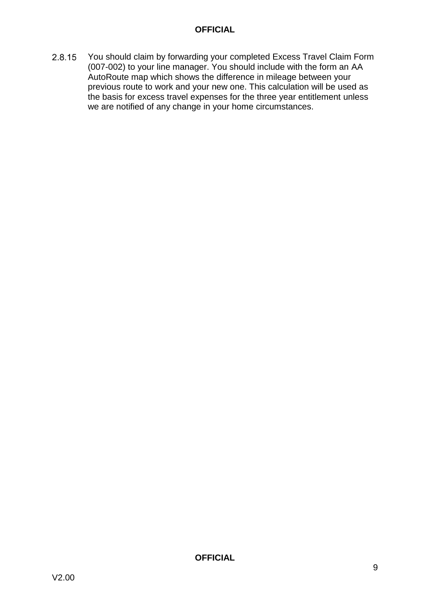You should claim by forwarding your completed Excess Travel Claim Form 2.8.15 (007-002) to your line manager. You should include with the form an AA AutoRoute map which shows the difference in mileage between your previous route to work and your new one. This calculation will be used as the basis for excess travel expenses for the three year entitlement unless we are notified of any change in your home circumstances.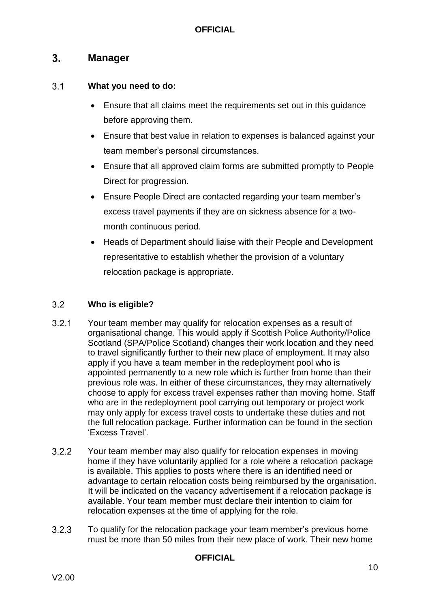#### <span id="page-10-0"></span> $3<sub>1</sub>$ **Manager**

#### $3.1$ **What you need to do:**

- Ensure that all claims meet the requirements set out in this guidance before approving them.
- Ensure that best value in relation to expenses is balanced against your team member's personal circumstances.
- Ensure that all approved claim forms are submitted promptly to People Direct for progression.
- Ensure People Direct are contacted regarding your team member's excess travel payments if they are on sickness absence for a twomonth continuous period.
- Heads of Department should liaise with their People and Development representative to establish whether the provision of a voluntary relocation package is appropriate.

#### $3.2$ **Who is eligible?**

- $3.2.1$ Your team member may qualify for relocation expenses as a result of organisational change. This would apply if Scottish Police Authority/Police Scotland (SPA/Police Scotland) changes their work location and they need to travel significantly further to their new place of employment. It may also apply if you have a team member in the redeployment pool who is appointed permanently to a new role which is further from home than their previous role was. In either of these circumstances, they may alternatively choose to apply for excess travel expenses rather than moving home. Staff who are in the redeployment pool carrying out temporary or project work may only apply for excess travel costs to undertake these duties and not the full relocation package. Further information can be found in the section 'Excess Travel'.
- $3.2.2$ Your team member may also qualify for relocation expenses in moving home if they have voluntarily applied for a role where a relocation package is available. This applies to posts where there is an identified need or advantage to certain relocation costs being reimbursed by the organisation. It will be indicated on the vacancy advertisement if a relocation package is available. Your team member must declare their intention to claim for relocation expenses at the time of applying for the role.
- $3.2.3$ To qualify for the relocation package your team member's previous home must be more than 50 miles from their new place of work. Their new home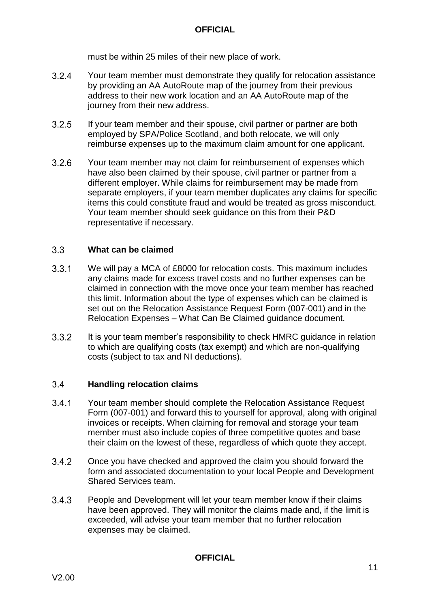must be within 25 miles of their new place of work.

- $3.2.4$ Your team member must demonstrate they qualify for relocation assistance by providing an AA AutoRoute map of the journey from their previous address to their new work location and an AA AutoRoute map of the journey from their new address.
- $3.2.5$ If your team member and their spouse, civil partner or partner are both employed by SPA/Police Scotland, and both relocate, we will only reimburse expenses up to the maximum claim amount for one applicant.
- $3.2.6$ Your team member may not claim for reimbursement of expenses which have also been claimed by their spouse, civil partner or partner from a different employer. While claims for reimbursement may be made from separate employers, if your team member duplicates any claims for specific items this could constitute fraud and would be treated as gross misconduct. Your team member should seek guidance on this from their P&D representative if necessary.

#### $3.3$ **What can be claimed**

- $3.3.1$ We will pay a MCA of £8000 for relocation costs. This maximum includes any claims made for excess travel costs and no further expenses can be claimed in connection with the move once your team member has reached this limit. Information about the type of expenses which can be claimed is set out on the Relocation Assistance Request Form (007-001) and in the Relocation Expenses – What Can Be Claimed guidance document.
- $3.3.2$ It is your team member's responsibility to check HMRC guidance in relation to which are qualifying costs (tax exempt) and which are non-qualifying costs (subject to tax and NI deductions).

#### $3.4$ **Handling relocation claims**

- $3.4.1$ Your team member should complete the Relocation Assistance Request Form (007-001) and forward this to yourself for approval, along with original invoices or receipts. When claiming for removal and storage your team member must also include copies of three competitive quotes and base their claim on the lowest of these, regardless of which quote they accept.
- $3.4.2$ Once you have checked and approved the claim you should forward the form and associated documentation to your local People and Development Shared Services team.
- $3.4.3$ People and Development will let your team member know if their claims have been approved. They will monitor the claims made and, if the limit is exceeded, will advise your team member that no further relocation expenses may be claimed.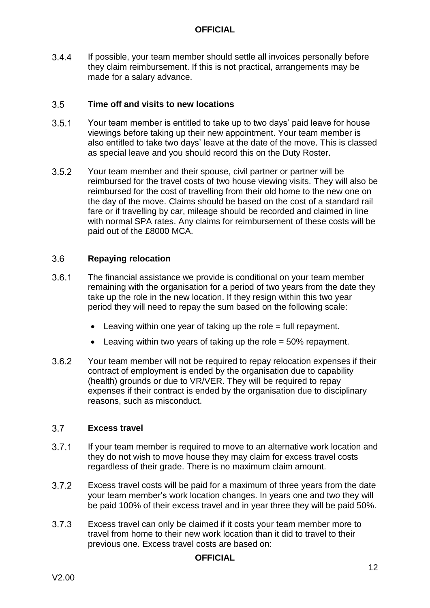$3.4.4$ If possible, your team member should settle all invoices personally before they claim reimbursement. If this is not practical, arrangements may be made for a salary advance.

#### $3.5$ **Time off and visits to new locations**

- $3.5.1$ Your team member is entitled to take up to two days' paid leave for house viewings before taking up their new appointment. Your team member is also entitled to take two days' leave at the date of the move. This is classed as special leave and you should record this on the Duty Roster.
- $3.5.2$ Your team member and their spouse, civil partner or partner will be reimbursed for the travel costs of two house viewing visits. They will also be reimbursed for the cost of travelling from their old home to the new one on the day of the move. Claims should be based on the cost of a standard rail fare or if travelling by car, mileage should be recorded and claimed in line with normal SPA rates. Any claims for reimbursement of these costs will be paid out of the £8000 MCA.

#### $3.6$ **Repaying relocation**

- $3.6.1$ The financial assistance we provide is conditional on your team member remaining with the organisation for a period of two years from the date they take up the role in the new location. If they resign within this two year period they will need to repay the sum based on the following scale:
	- $\bullet$  Leaving within one vear of taking up the role = full repayment.
	- Leaving within two years of taking up the role = 50% repayment.
- $362$ Your team member will not be required to repay relocation expenses if their contract of employment is ended by the organisation due to capability (health) grounds or due to VR/VER. They will be required to repay expenses if their contract is ended by the organisation due to disciplinary reasons, such as misconduct.

#### $37<sup>7</sup>$ **Excess travel**

- $3.7.1$ If your team member is required to move to an alternative work location and they do not wish to move house they may claim for excess travel costs regardless of their grade. There is no maximum claim amount.
- $3.7.2$ Excess travel costs will be paid for a maximum of three years from the date your team member's work location changes. In years one and two they will be paid 100% of their excess travel and in year three they will be paid 50%.
- $3.7.3$ Excess travel can only be claimed if it costs your team member more to travel from home to their new work location than it did to travel to their previous one. Excess travel costs are based on: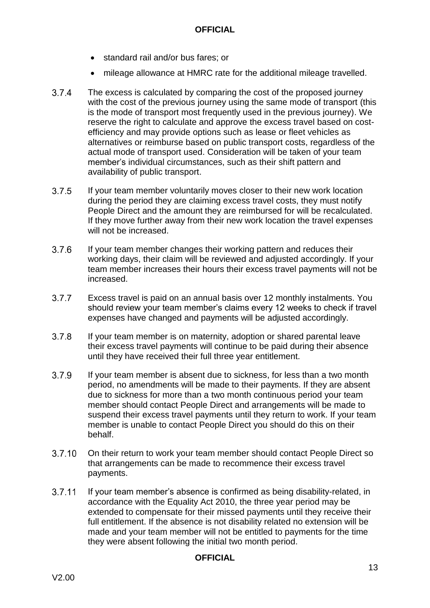- standard rail and/or bus fares; or
- mileage allowance at HMRC rate for the additional mileage travelled.
- $3.7.4$ The excess is calculated by comparing the cost of the proposed journey with the cost of the previous journey using the same mode of transport (this is the mode of transport most frequently used in the previous journey). We reserve the right to calculate and approve the excess travel based on costefficiency and may provide options such as lease or fleet vehicles as alternatives or reimburse based on public transport costs, regardless of the actual mode of transport used. Consideration will be taken of your team member's individual circumstances, such as their shift pattern and availability of public transport.
- $3.7.5$ If your team member voluntarily moves closer to their new work location during the period they are claiming excess travel costs, they must notify People Direct and the amount they are reimbursed for will be recalculated. If they move further away from their new work location the travel expenses will not be increased.
- $3.7.6$ If your team member changes their working pattern and reduces their working days, their claim will be reviewed and adjusted accordingly. If your team member increases their hours their excess travel payments will not be increased.
- $3.7.7$ Excess travel is paid on an annual basis over 12 monthly instalments. You should review your team member's claims every 12 weeks to check if travel expenses have changed and payments will be adjusted accordingly.
- $3.7.8$ If your team member is on maternity, adoption or shared parental leave their excess travel payments will continue to be paid during their absence until they have received their full three year entitlement.
- 3.7.9 If your team member is absent due to sickness, for less than a two month period, no amendments will be made to their payments. If they are absent due to sickness for more than a two month continuous period your team member should contact People Direct and arrangements will be made to suspend their excess travel payments until they return to work. If your team member is unable to contact People Direct you should do this on their behalf.
- $3.7.10$ On their return to work your team member should contact People Direct so that arrangements can be made to recommence their excess travel payments.
- $3.7.11$ If your team member's absence is confirmed as being disability-related, in accordance with the Equality Act 2010, the three year period may be extended to compensate for their missed payments until they receive their full entitlement. If the absence is not disability related no extension will be made and your team member will not be entitled to payments for the time they were absent following the initial two month period.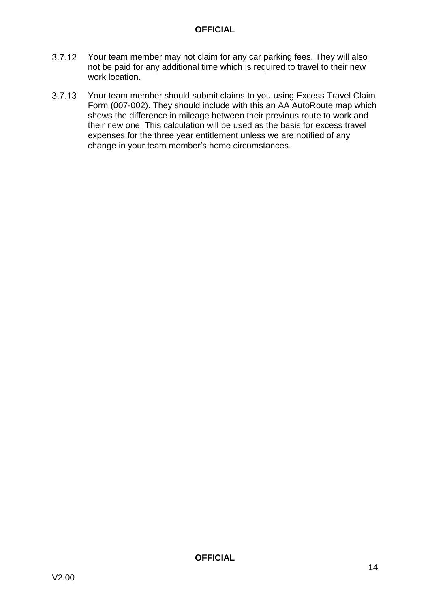- $3.7.12$ Your team member may not claim for any car parking fees. They will also not be paid for any additional time which is required to travel to their new work location.
- 3.7.13 Your team member should submit claims to you using Excess Travel Claim Form (007-002). They should include with this an AA AutoRoute map which shows the difference in mileage between their previous route to work and their new one. This calculation will be used as the basis for excess travel expenses for the three year entitlement unless we are notified of any change in your team member's home circumstances.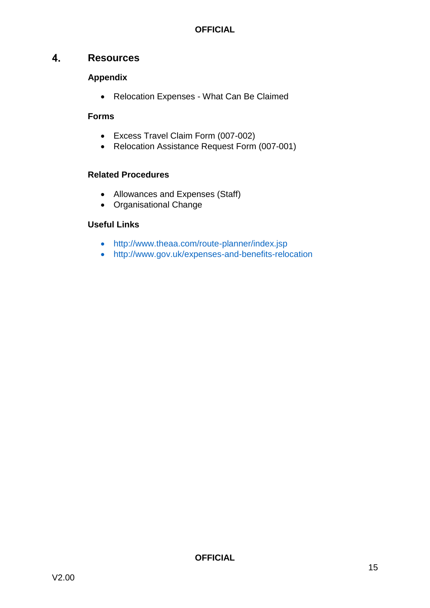#### <span id="page-15-0"></span> $\overline{4}$ . **Resources**

## **Appendix**

Relocation Expenses - What Can Be Claimed

## **Forms**

- Excess Travel Claim Form (007-002)
- Relocation Assistance Request Form (007-001)

## **Related Procedures**

- Allowances and Expenses (Staff)
- Organisational Change

## **Useful Links**

- <http://www.theaa.com/route-planner/index.jsp>
- <http://www.gov.uk/expenses-and-benefits-relocation>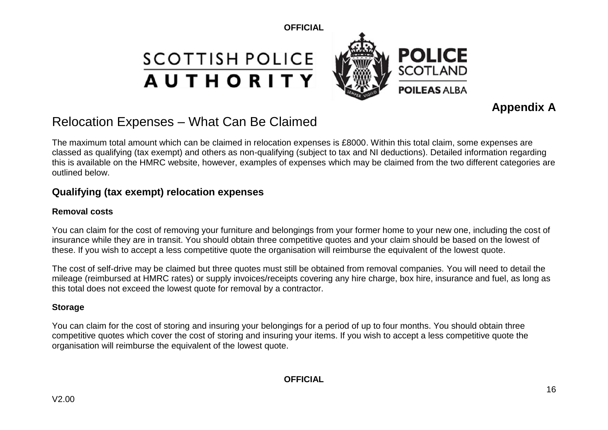## **SCOTTISH POLICE AUTHORITY**



## **Appendix A**

## Relocation Expenses – What Can Be Claimed

The maximum total amount which can be claimed in relocation expenses is £8000. Within this total claim, some expenses are classed as qualifying (tax exempt) and others as non-qualifying (subject to tax and NI deductions). Detailed information regarding this is available on the HMRC website, however, examples of expenses which may be claimed from the two different categories are outlined below.

## **Qualifying (tax exempt) relocation expenses**

## **Removal costs**

You can claim for the cost of removing your furniture and belongings from your former home to your new one, including the cost of insurance while they are in transit. You should obtain three competitive quotes and your claim should be based on the lowest of these. If you wish to accept a less competitive quote the organisation will reimburse the equivalent of the lowest quote.

The cost of self-drive may be claimed but three quotes must still be obtained from removal companies. You will need to detail the mileage (reimbursed at HMRC rates) or supply invoices/receipts covering any hire charge, box hire, insurance and fuel, as long as this total does not exceed the lowest quote for removal by a contractor.

## **Storage**

You can claim for the cost of storing and insuring your belongings for a period of up to four months. You should obtain three competitive quotes which cover the cost of storing and insuring your items. If you wish to accept a less competitive quote the organisation will reimburse the equivalent of the lowest quote.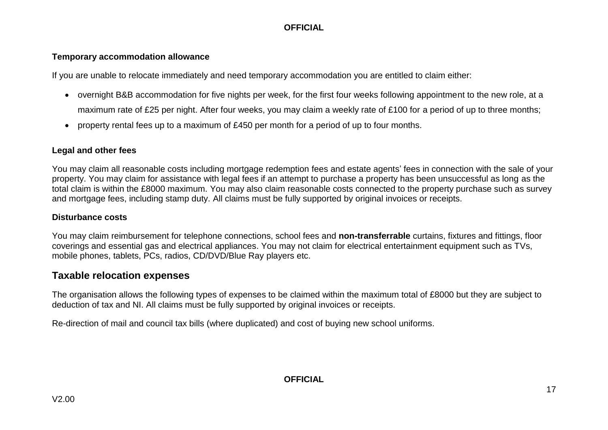### **Temporary accommodation allowance**

If you are unable to relocate immediately and need temporary accommodation you are entitled to claim either:

- overnight B&B accommodation for five nights per week, for the first four weeks following appointment to the new role, at a maximum rate of £25 per night. After four weeks, you may claim a weekly rate of £100 for a period of up to three months;
- property rental fees up to a maximum of £450 per month for a period of up to four months.

## **Legal and other fees**

You may claim all reasonable costs including mortgage redemption fees and estate agents' fees in connection with the sale of your property. You may claim for assistance with legal fees if an attempt to purchase a property has been unsuccessful as long as the total claim is within the £8000 maximum. You may also claim reasonable costs connected to the property purchase such as survey and mortgage fees, including stamp duty. All claims must be fully supported by original invoices or receipts.

### **Disturbance costs**

You may claim reimbursement for telephone connections, school fees and **non-transferrable** curtains, fixtures and fittings, floor coverings and essential gas and electrical appliances. You may not claim for electrical entertainment equipment such as TVs, mobile phones, tablets, PCs, radios, CD/DVD/Blue Ray players etc.

## **Taxable relocation expenses**

The organisation allows the following types of expenses to be claimed within the maximum total of £8000 but they are subject to deduction of tax and NI. All claims must be fully supported by original invoices or receipts.

Re-direction of mail and council tax bills (where duplicated) and cost of buying new school uniforms.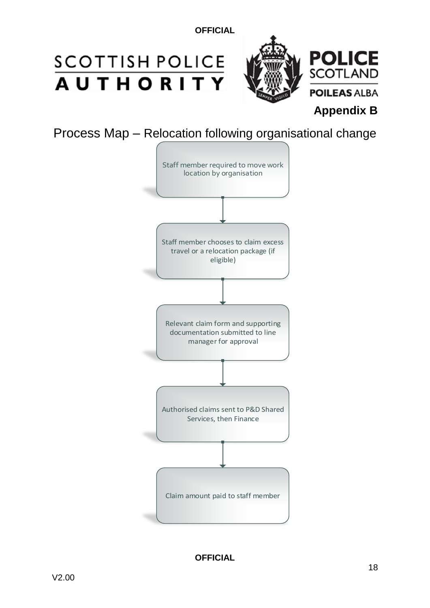## **SCOTTISH POLICE AUTHORITY**



**Appendix B**

Process Map – Relocation following organisational change

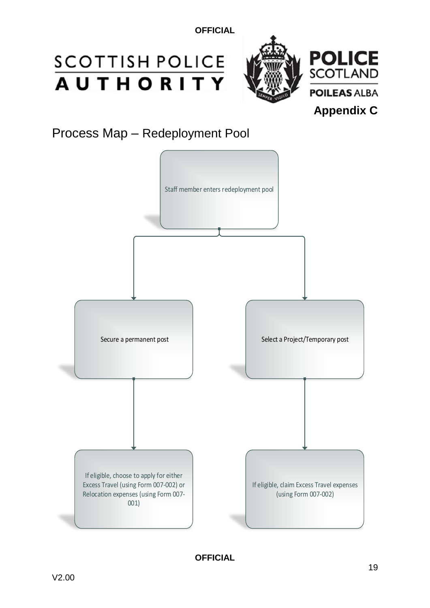# **SCOTTISH POLICE**<br>**AUTHORITY**



Process Map – Redeployment Pool